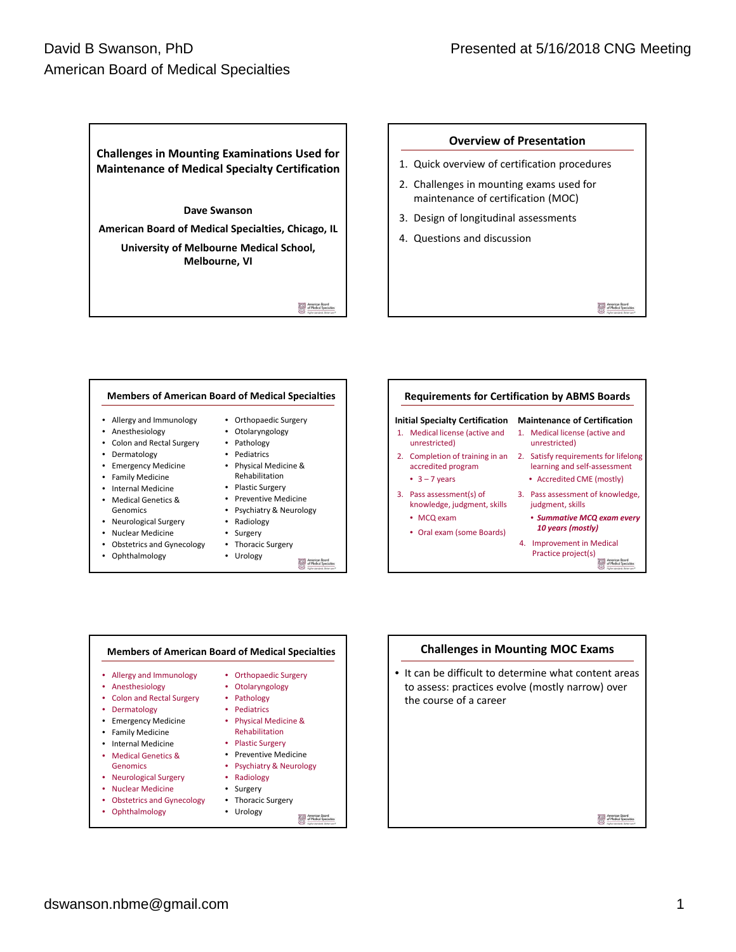# David B Swanson, PhD American Board of Medical Specialties



## **Overview of Presentation**

- 1. Quick overview of certification procedures
- 2. Challenges in mounting exams used for maintenance of certification (MOC)
- 3. Design of longitudinal assessments
- 4. Questions and discussion

American Board<br>of Medical Specials





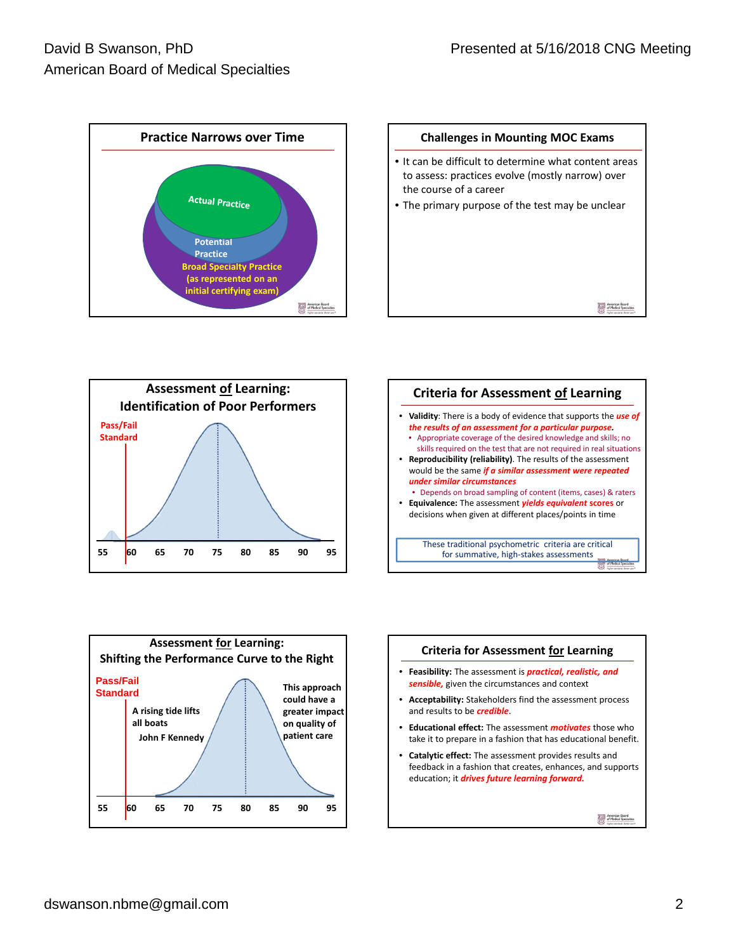









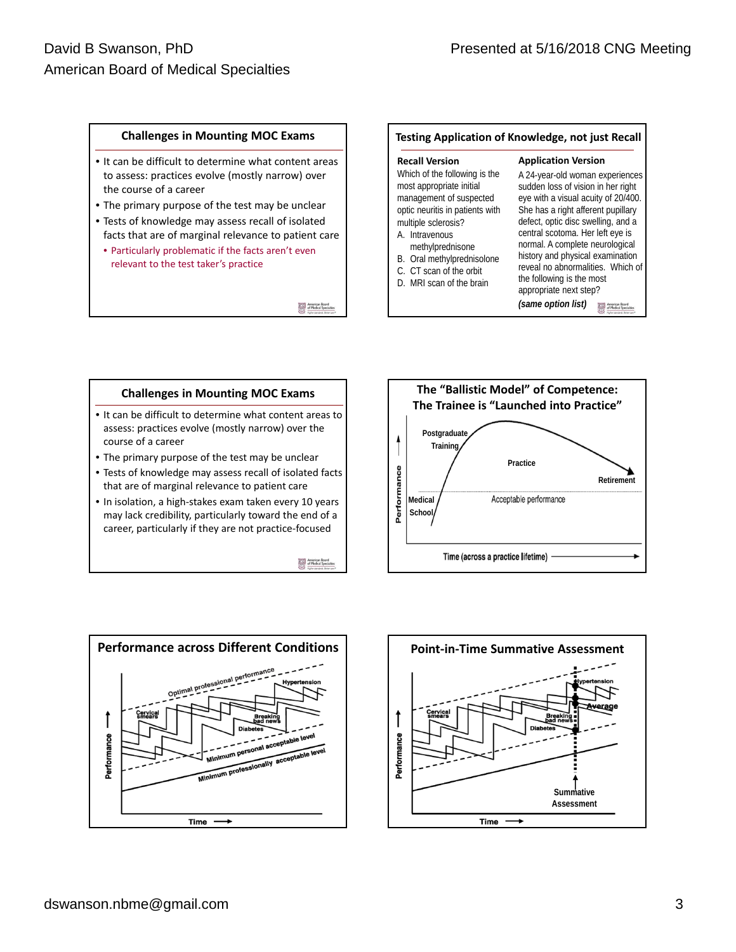# **Challenges in Mounting MOC Exams**

- It can be difficult to determine what content areas to assess: practices evolve (mostly narrow) over the course of a career
- The primary purpose of the test may be unclear
- Tests of knowledge may assess recall of isolated facts that are of marginal relevance to patient care
- Particularly problematic if the facts aren't even relevant to the test taker's practice

American Board<br>of Medical Specialti

# **Testing Application of Knowledge, not just Recall**

| <b>Recall Version</b>                                                                                                                                            | <b>Application Version</b>                                                                                                                                                                                                   |
|------------------------------------------------------------------------------------------------------------------------------------------------------------------|------------------------------------------------------------------------------------------------------------------------------------------------------------------------------------------------------------------------------|
| Which of the following is the<br>most appropriate initial<br>management of suspected<br>optic neuritis in patients with<br>multiple sclerosis?<br>A. Intravenous | A 24-year-old woman experiences<br>sudden loss of vision in her right<br>eye with a visual acuity of 20/400.<br>She has a right afferent pupillary<br>defect, optic disc swelling, and a<br>central scotoma. Her left eye is |
| methylprednisone<br>B. Oral methylprednisolone<br>C. CT scan of the orbit<br>D. MRI scan of the brain                                                            | normal. A complete neurological<br>history and physical examination<br>reveal no abnormalities. Which of<br>the following is the most<br>appropriate next step?<br>(same option list)                                        |
|                                                                                                                                                                  |                                                                                                                                                                                                                              |